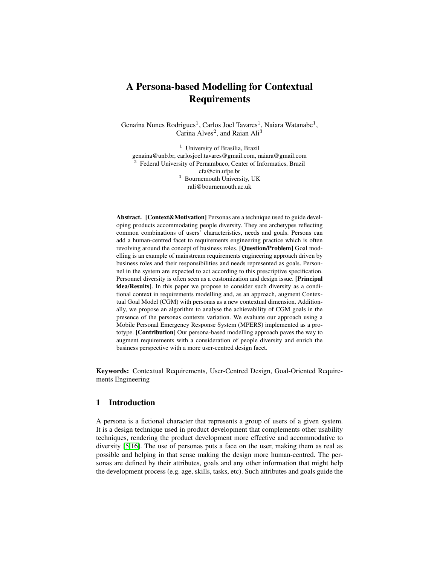# A Persona-based Modelling for Contextual Requirements

Genaína Nunes Rodrigues<sup>1</sup>, Carlos Joel Tavares<sup>1</sup>, Naiara Watanabe<sup>1</sup>, Carina Alves<sup>2</sup>, and Raian Ali<sup>3</sup>

 $1$  University of Brasília, Brazil genaina@unb.br, carlosjoel.tavares@gmail.com, naiara@gmail.com 2 Federal University of Pernambuco, Center of Informatics, Brazil cfa@cin.ufpe.br <sup>3</sup> Bournemouth University, UK rali@bournemouth.ac.uk

Abstract. [Context&Motivation] Personas are a technique used to guide developing products accommodating people diversity. They are archetypes reflecting common combinations of users' characteristics, needs and goals. Persons can add a human-centred facet to requirements engineering practice which is often revolving around the concept of business roles. [Question/Problem] Goal modelling is an example of mainstream requirements engineering approach driven by business roles and their responsibilities and needs represented as goals. Personnel in the system are expected to act according to this prescriptive specification. Personnel diversity is often seen as a customization and design issue. [Principal idea/Results]. In this paper we propose to consider such diversity as a conditional context in requirements modelling and, as an approach, augment Contextual Goal Model (CGM) with personas as a new contextual dimension. Additionally, we propose an algorithm to analyse the achievability of CGM goals in the presence of the personas contexts variation. We evaluate our approach using a Mobile Personal Emergency Response System (MPERS) implemented as a prototype. [Contribution] Our persona-based modelling approach paves the way to augment requirements with a consideration of people diversity and enrich the business perspective with a more user-centred design facet.

Keywords: Contextual Requirements, User-Centred Design, Goal-Oriented Requirements Engineering

## 1 Introduction

A persona is a fictional character that represents a group of users of a given system. It is a design technique used in product development that complements other usability techniques, rendering the product development more effective and accommodative to diversity [\[5](#page-14-0)[,16\]](#page-15-0). The use of personas puts a face on the user, making them as real as possible and helping in that sense making the design more human-centred. The personas are defined by their attributes, goals and any other information that might help the development process (e.g. age, skills, tasks, etc). Such attributes and goals guide the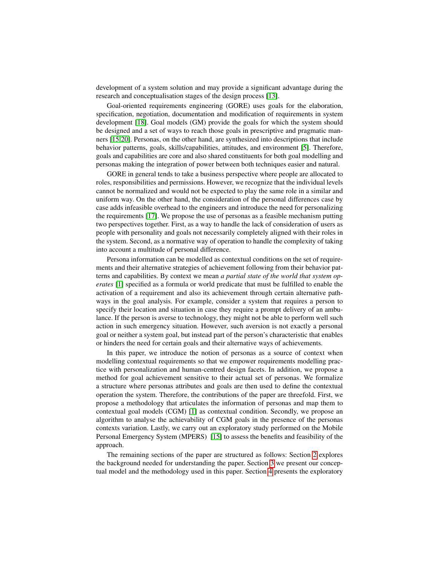development of a system solution and may provide a significant advantage during the research and conceptualisation stages of the design process [\[13\]](#page-15-1).

Goal-oriented requirements engineering (GORE) uses goals for the elaboration, specification, negotiation, documentation and modification of requirements in system development [\[18\]](#page-15-2). Goal models (GM) provide the goals for which the system should be designed and a set of ways to reach those goals in prescriptive and pragmatic manners [\[15,](#page-15-3)[20\]](#page-15-4). Personas, on the other hand, are synthesized into descriptions that include behavior patterns, goals, skills/capabilities, attitudes, and environment [\[5\]](#page-14-0). Therefore, goals and capabilities are core and also shared constituents for both goal modelling and personas making the integration of power between both techniques easier and natural.

GORE in general tends to take a business perspective where people are allocated to roles, responsibilities and permissions. However, we recognize that the individual levels cannot be normalized and would not be expected to play the same role in a similar and uniform way. On the other hand, the consideration of the personal differences case by case adds infeasible overhead to the engineers and introduce the need for personalizing the requirements [\[17\]](#page-15-5). We propose the use of personas as a feasible mechanism putting two perspectives together. First, as a way to handle the lack of consideration of users as people with personality and goals not necessarily completely aligned with their roles in the system. Second, as a normative way of operation to handle the complexity of taking into account a multitude of personal difference.

Persona information can be modelled as contextual conditions on the set of requirements and their alternative strategies of achievement following from their behavior patterns and capabilities. By context we mean *a partial state of the world that system operates* [\[1\]](#page-14-1) specified as a formula or world predicate that must be fulfilled to enable the activation of a requirement and also its achievement through certain alternative pathways in the goal analysis. For example, consider a system that requires a person to specify their location and situation in case they require a prompt delivery of an ambulance. If the person is averse to technology, they might not be able to perform well such action in such emergency situation. However, such aversion is not exactly a personal goal or neither a system goal, but instead part of the person's characteristic that enables or hinders the need for certain goals and their alternative ways of achievements.

In this paper, we introduce the notion of personas as a source of context when modelling contextual requirements so that we empower requirements modelling practice with personalization and human-centred design facets. In addition, we propose a method for goal achievement sensitive to their actual set of personas. We formalize a structure where personas attributes and goals are then used to define the contextual operation the system. Therefore, the contributions of the paper are threefold. First, we propose a methodology that articulates the information of personas and map them to contextual goal models (CGM) [\[1\]](#page-14-1) as contextual condition. Secondly, we propose an algorithm to analyse the achievability of CGM goals in the presence of the personas contexts variation. Lastly, we carry out an exploratory study performed on the Mobile Personal Emergency System (MPERS) [\[15\]](#page-15-3) to assess the benefits and feasibility of the approach.

The remaining sections of the paper are structured as follows: Section [2](#page-2-0) explores the background needed for understanding the paper. Section [3](#page-3-0) we present our conceptual model and the methodology used in this paper. Section [4](#page-9-0) presents the exploratory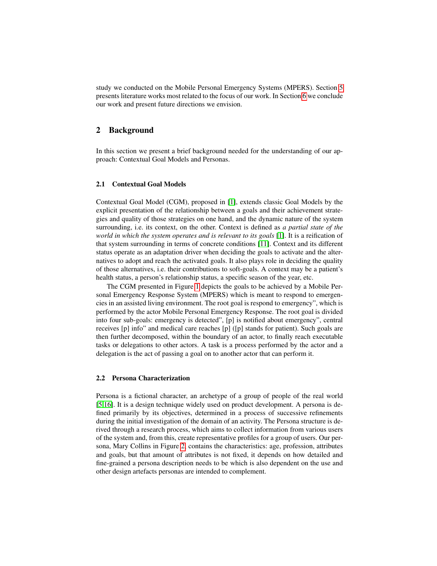study we conducted on the Mobile Personal Emergency Systems (MPERS). Section [5](#page-12-0) presents literature works most related to the focus of our work. In Section [6](#page-13-0) we conclude our work and present future directions we envision.

## <span id="page-2-0"></span>2 Background

In this section we present a brief background needed for the understanding of our approach: Contextual Goal Models and Personas.

#### 2.1 Contextual Goal Models

Contextual Goal Model (CGM), proposed in [\[1\]](#page-14-1), extends classic Goal Models by the explicit presentation of the relationship between a goals and their achievement strategies and quality of those strategies on one hand, and the dynamic nature of the system surrounding, i.e. its context, on the other. Context is defined as *a partial state of the world in which the system operates and is relevant to its goals* [\[1\]](#page-14-1). It is a reification of that system surrounding in terms of concrete conditions [\[11\]](#page-15-6). Context and its different status operate as an adaptation driver when deciding the goals to activate and the alternatives to adopt and reach the activated goals. It also plays role in deciding the quality of those alternatives, i.e. their contributions to soft-goals. A context may be a patient's health status, a person's relationship status, a specific season of the year, etc.

The CGM presented in Figure [1](#page-3-1) depicts the goals to be achieved by a Mobile Personal Emergency Response System (MPERS) which is meant to respond to emergencies in an assisted living environment. The root goal is respond to emergency", which is performed by the actor Mobile Personal Emergency Response. The root goal is divided into four sub-goals: emergency is detected", [p] is notified about emergency", central receives [p] info" and medical care reaches [p] ([p] stands for patient). Such goals are then further decomposed, within the boundary of an actor, to finally reach executable tasks or delegations to other actors. A task is a process performed by the actor and a delegation is the act of passing a goal on to another actor that can perform it.

#### 2.2 Persona Characterization

Persona is a fictional character, an archetype of a group of people of the real world [\[5,](#page-14-0)[16\]](#page-15-0). It is a design technique widely used on product development. A persona is defined primarily by its objectives, determined in a process of successive refinements during the initial investigation of the domain of an activity. The Persona structure is derived through a research process, which aims to collect information from various users of the system and, from this, create representative profiles for a group of users. Our persona, Mary Collins in Figure [2,](#page-4-0) contains the characteristics: age, profession, attributes and goals, but that amount of attributes is not fixed, it depends on how detailed and fine-grained a persona description needs to be which is also dependent on the use and other design artefacts personas are intended to complement.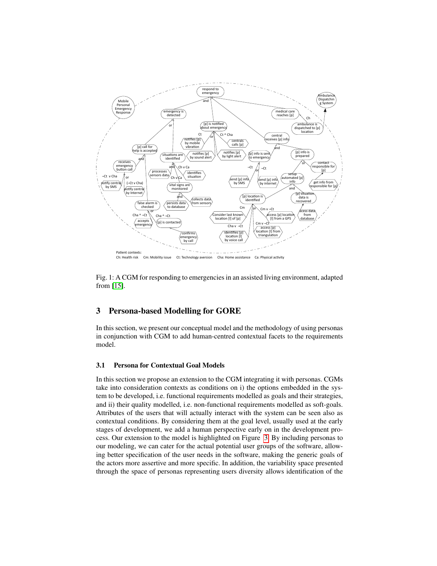<span id="page-3-1"></span>

Fig. 1: A CGM for responding to emergencies in an assisted living environment, adapted from [\[15\]](#page-15-3).

# <span id="page-3-0"></span>3 Persona-based Modelling for GORE

In this section, we present our conceptual model and the methodology of using personas in conjunction with CGM to add human-centred contextual facets to the requirements model.

#### 3.1 Persona for Contextual Goal Models

In this section we propose an extension to the CGM integrating it with personas. CGMs take into consideration contexts as conditions on i) the options embedded in the system to be developed, i.e. functional requirements modelled as goals and their strategies, and ii) their quality modelled, i.e. non-functional requirements modelled as soft-goals. Attributes of the users that will actually interact with the system can be seen also as contextual conditions. By considering them at the goal level, usually used at the early stages of development, we add a human perspective early on in the development process. Our extension to the model is highlighted on Figure [3.](#page-5-0) By including personas to our modeling, we can cater for the actual potential user groups of the software, allowing better specification of the user needs in the software, making the generic goals of the actors more assertive and more specific. In addition, the variability space presented through the space of personas representing users diversity allows identification of the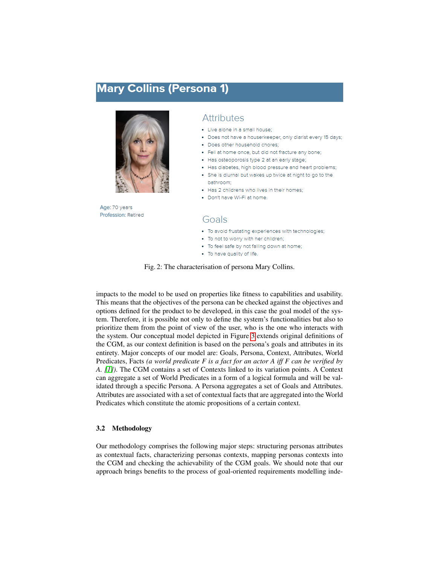# <span id="page-4-0"></span>**Mary Collins (Persona 1)**



Age: 70 years Profession: Retired

# **Attributes**

- · Live alone in a small house;
- · Does not have a houserkeeper, only diarist every 15 days;
- · Does other household chores;
- · Fell at home once, but did not fracture any bone;
- Has osteoporosis type 2 at an early stage;
- Has diabetes, high blood pressure and heart problems;
- . She is diurnal but wakes up twice at night to go to the bathroom;
- Has 2 childrens who lives in their homes;
- · Don't have Wi-Fi at home.

# Goals

- · To avoid frustating experiences with technologies;
- . To not to worry with her children;
- · To feel safe by not falling down at home;
- To have quality of life.

#### Fig. 2: The characterisation of persona Mary Collins.

impacts to the model to be used on properties like fitness to capabilities and usability. This means that the objectives of the persona can be checked against the objectives and options defined for the product to be developed, in this case the goal model of the system. Therefore, it is possible not only to define the system's functionalities but also to prioritize them from the point of view of the user, who is the one who interacts with the system. Our conceptual model depicted in Figure [3](#page-5-0) extends original definitions of the CGM, as our context definition is based on the persona's goals and attributes in its entirety. Major concepts of our model are: Goals, Persona, Context, Attributes, World Predicates, Facts *(a world predicate F is a fact for an actor A iff F can be verified by A. [\[1\]](#page-14-1))*. The CGM contains a set of Contexts linked to its variation points. A Context can aggregate a set of World Predicates in a form of a logical formula and will be validated through a specific Persona. A Persona aggregates a set of Goals and Attributes. Attributes are associated with a set of contextual facts that are aggregated into the World Predicates which constitute the atomic propositions of a certain context.

#### 3.2 Methodology

Our methodology comprises the following major steps: structuring personas attributes as contextual facts, characterizing personas contexts, mapping personas contexts into the CGM and checking the achievability of the CGM goals. We should note that our approach brings benefits to the process of goal-oriented requirements modelling inde-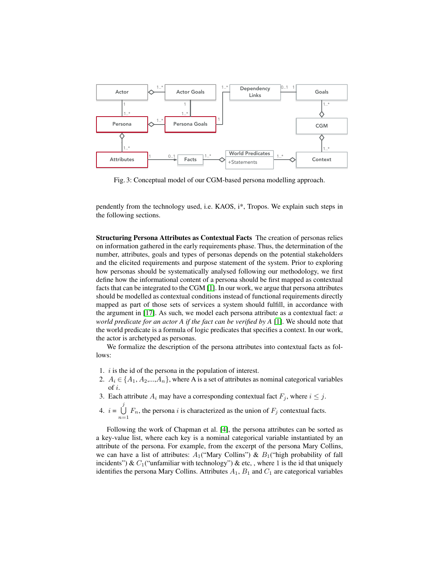<span id="page-5-0"></span>

Fig. 3: Conceptual model of our CGM-based persona modelling approach.

pendently from the technology used, i.e. KAOS, i\*, Tropos. We explain such steps in the following sections.

Structuring Persona Attributes as Contextual Facts The creation of personas relies on information gathered in the early requirements phase. Thus, the determination of the number, attributes, goals and types of personas depends on the potential stakeholders and the elicited requirements and purpose statement of the system. Prior to exploring how personas should be systematically analysed following our methodology, we first define how the informational content of a persona should be first mapped as contextual facts that can be integrated to the CGM [\[1\]](#page-14-1). In our work, we argue that persona attributes should be modelled as contextual conditions instead of functional requirements directly mapped as part of those sets of services a system should fulfill, in accordance with the argument in [\[17\]](#page-15-5). As such, we model each persona attribute as a contextual fact: *a world predicate for an actor A if the fact can be verified by A* [\[1\]](#page-14-1). We should note that the world predicate is a formula of logic predicates that specifies a context. In our work, the actor is archetyped as personas.

We formalize the description of the persona attributes into contextual facts as follows:

- 1.  $i$  is the id of the persona in the population of interest.
- 2.  $A_i \in \{A_1, A_2, ..., A_n\}$ , where A is a set of attributes as nominal categorical variables of i.
- 3. Each attribute  $A_i$  may have a corresponding contextual fact  $F_j$ , where  $i \leq j$ .
- 4.  $i = \bigcup^j$  $\bigcup_{n=1} F_n$ , the persona i is characterized as the union of  $F_j$  contextual facts.

Following the work of Chapman et al. [\[4\]](#page-14-2), the persona attributes can be sorted as a key-value list, where each key is a nominal categorical variable instantiated by an attribute of the persona. For example, from the excerpt of the persona Mary Collins, we can have a list of attributes:  $A_1$  ("Mary Collins") &  $B_1$  ("high probability of fall incidents") &  $C_1$ ("unfamiliar with technology") & etc,, where 1 is the id that uniquely identifies the persona Mary Collins. Attributes  $A_1$ ,  $B_1$  and  $C_1$  are categorical variables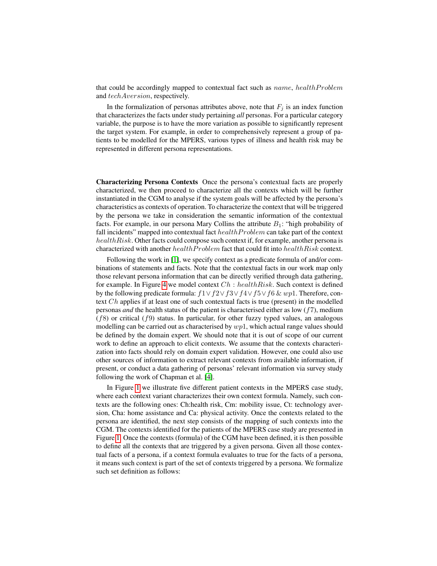that could be accordingly mapped to contextual fact such as  $name, healthProblem$ and techAversion, respectively.

In the formalization of personas attributes above, note that  $F_i$  is an index function that characterizes the facts under study pertaining *all* personas. For a particular category variable, the purpose is to have the more variation as possible to significantly represent the target system. For example, in order to comprehensively represent a group of patients to be modelled for the MPERS, various types of illness and health risk may be represented in different persona representations.

Characterizing Persona Contexts Once the persona's contextual facts are properly characterized, we then proceed to characterize all the contexts which will be further instantiated in the CGM to analyse if the system goals will be affected by the persona's characteristics as contexts of operation. To characterize the context that will be triggered by the persona we take in consideration the semantic information of the contextual facts. For example, in our persona Mary Collins the attribute  $B_1$ : "high probability of fall incidents" mapped into contextual fact  $health Problem$  can take part of the context  $healthRisk$ . Other facts could compose such context if, for example, another persona is characterized with another health Problem fact that could fit into health Risk context.

Following the work in [\[1\]](#page-14-1), we specify context as a predicate formula of and/or combinations of statements and facts. Note that the contextual facts in our work map only those relevant persona information that can be directly verified through data gathering, for example. In Figure [4](#page-7-0) we model context  $Ch$ : health Risk. Such context is defined by the following predicate formula:  $f1 \vee f2 \vee f3 \vee f4 \vee f5 \vee f6 \& wp1$ . Therefore, context Ch applies if at least one of such contextual facts is true (present) in the modelled personas *and* the health status of the patient is characterised either as low  $(f7)$ , medium  $(f8)$  or critical  $(f9)$  status. In particular, for other fuzzy typed values, an analogous modelling can be carried out as characterised by  $wp1$ , which actual range values should be defined by the domain expert. We should note that it is out of scope of our current work to define an approach to elicit contexts. We assume that the contexts characterization into facts should rely on domain expert validation. However, one could also use other sources of information to extract relevant contexts from available information, if present, or conduct a data gathering of personas' relevant information via survey study following the work of Chapman et al. [\[4\]](#page-14-2).

In Figure [1](#page-3-1) we illustrate five different patient contexts in the MPERS case study, where each context variant characterizes their own context formula. Namely, such contexts are the following ones: Ch:health risk, Cm: mobility issue, Ct: technology aversion, Cha: home assistance and Ca: physical activity. Once the contexts related to the persona are identified, the next step consists of the mapping of such contexts into the CGM. The contexts identified for the patients of the MPERS case study are presented in Figure [1.](#page-3-1) Once the contexts (formula) of the CGM have been defined, it is then possible to define all the contexts that are triggered by a given persona. Given all those contextual facts of a persona, if a context formula evaluates to true for the facts of a persona, it means such context is part of the set of contexts triggered by a persona. We formalize such set definition as follows: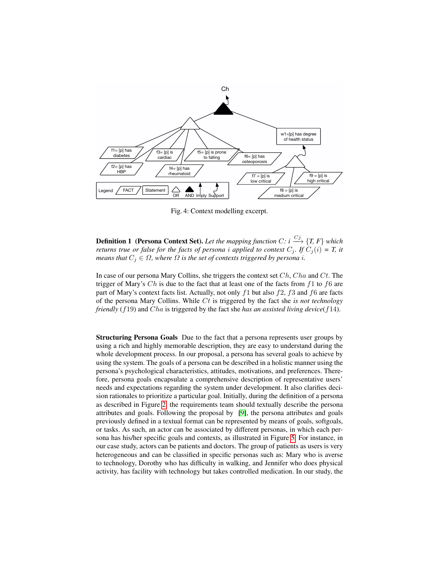<span id="page-7-0"></span>

Fig. 4: Context modelling excerpt.

**Definition 1** (Persona Context Set). Let the mapping function C: i  $\frac{C_j}{T}$  {*T, F*} which *returns true or false for the facts of persona i applied to context*  $C_j$ *. If*  $C_j(i) = T$ *, it means that*  $C_i \in \Omega$ *, where*  $\Omega$  *is the set of contexts triggered by persona i.* 

In case of our persona Mary Collins, she triggers the context set  $Ch$ ,  $Cha$  and  $Ct$ . The trigger of Mary's  $Ch$  is due to the fact that at least one of the facts from  $f1$  to  $f6$  are part of Mary's context facts list. Actually, not only  $f1$  but also  $f2$ ,  $f3$  and  $f6$  are facts of the persona Mary Collins. While Ct is triggered by the fact she *is not technology friendly* (f19) and Cha is triggered by the fact she *has an assisted living device*(f14).

Structuring Persona Goals Due to the fact that a persona represents user groups by using a rich and highly memorable description, they are easy to understand during the whole development process. In our proposal, a persona has several goals to achieve by using the system. The goals of a persona can be described in a holistic manner using the persona's psychological characteristics, attitudes, motivations, and preferences. Therefore, persona goals encapsulate a comprehensive description of representative users' needs and expectations regarding the system under development. It also clarifies decision rationales to prioritize a particular goal. Initially, during the definition of a persona as described in Figure [2,](#page-4-0) the requirements team should textually describe the persona attributes and goals. Following the proposal by [\[9\]](#page-15-7), the persona attributes and goals previously defined in a textual format can be represented by means of goals, softgoals, or tasks. As such, an actor can be associated by different personas, in which each persona has his/her specific goals and contexts, as illustrated in Figure [5.](#page-8-0) For instance, in our case study, actors can be patients and doctors. The group of patients as users is very heterogeneous and can be classified in specific personas such as: Mary who is averse to technology, Dorothy who has difficulty in walking, and Jennifer who does physical activity, has facility with technology but takes controlled medication. In our study, the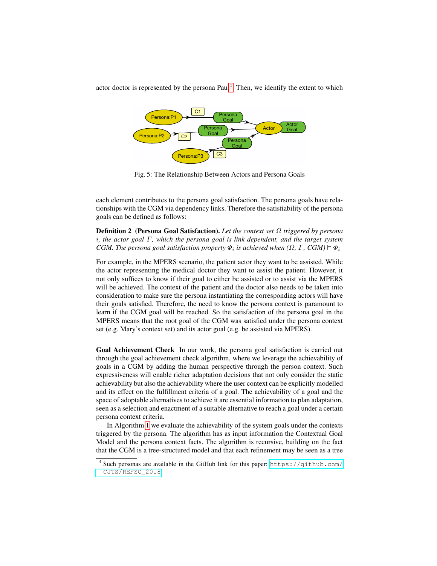<span id="page-8-0"></span>actor doctor is represented by the persona Paul<sup>[4](#page-8-1)</sup>. Then, we identify the extent to which



Fig. 5: The Relationship Between Actors and Persona Goals

each element contributes to the persona goal satisfaction. The persona goals have relationships with the CGM via dependency links. Therefore the satisfiability of the persona goals can be defined as follows:

Definition 2 (Persona Goal Satisfaction). *Let the context set* Ω *triggered by persona* i*, the actor goal* Γ*, which the persona goal is link dependent, and the target system CGM. The persona goal satisfaction property*  $\Phi_i$  *is achieved when*  $(\Omega, \Gamma, \overline{CGM}) \vDash \Phi_i$ 

For example, in the MPERS scenario, the patient actor they want to be assisted. While the actor representing the medical doctor they want to assist the patient. However, it not only suffices to know if their goal to either be assisted or to assist via the MPERS will be achieved. The context of the patient and the doctor also needs to be taken into consideration to make sure the persona instantiating the corresponding actors will have their goals satisfied. Therefore, the need to know the persona context is paramount to learn if the CGM goal will be reached. So the satisfaction of the persona goal in the MPERS means that the root goal of the CGM was satisfied under the persona context set (e.g. Mary's context set) and its actor goal (e.g. be assisted via MPERS).

<span id="page-8-2"></span>Goal Achievement Check In our work, the persona goal satisfaction is carried out through the goal achievement check algorithm, where we leverage the achievability of goals in a CGM by adding the human perspective through the person context. Such expressiveness will enable richer adaptation decisions that not only consider the static achievability but also the achievability where the user context can be explicitly modelled and its effect on the fulfillment criteria of a goal. The achievability of a goal and the space of adoptable alternatives to achieve it are essential information to plan adaptation, seen as a selection and enactment of a suitable alternative to reach a goal under a certain persona context criteria.

In Algorithm [1](#page-10-0) we evaluate the achievability of the system goals under the contexts triggered by the persona. The algorithm has as input information the Contextual Goal Model and the persona context facts. The algorithm is recursive, building on the fact that the CGM is a tree-structured model and that each refinement may be seen as a tree

<span id="page-8-1"></span><sup>&</sup>lt;sup>4</sup> Such personas are available in the GitHub link for this paper: [https://github.com/](https://github.com/CJTS/REFSQ_2018) [CJTS/REFSQ\\_2018](https://github.com/CJTS/REFSQ_2018)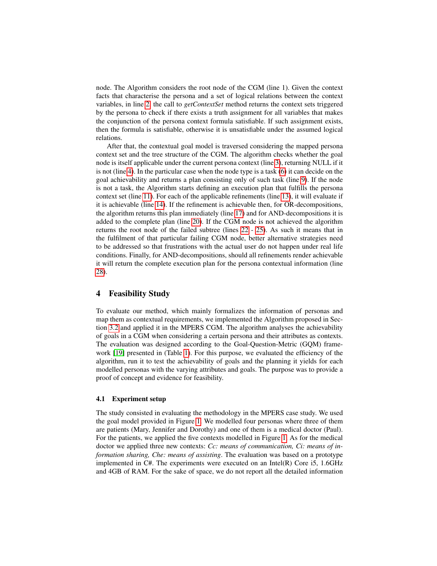node. The Algorithm considers the root node of the CGM (line 1). Given the context facts that characterise the persona and a set of logical relations between the context variables, in line [2,](#page-10-0) the call to *getContextSet* method returns the context sets triggered by the persona to check if there exists a truth assignment for all variables that makes the conjunction of the persona context formula satisfiable. If such assignment exists, then the formula is satisfiable, otherwise it is unsatisfiable under the assumed logical relations.

After that, the contextual goal model is traversed considering the mapped persona context set and the tree structure of the CGM. The algorithm checks whether the goal node is itself applicable under the current persona context (line [3\)](#page-10-0), returning NULL if it is not (line [4\)](#page-10-0). In the particular case when the node type is a task [\(6\)](#page-10-0) it can decide on the goal achievability and returns a plan consisting only of such task (line [9\)](#page-10-0). If the node is not a task, the Algorithm starts defining an execution plan that fulfills the persona context set (line [11\)](#page-10-0). For each of the applicable refinements (line [13\)](#page-10-0), it will evaluate if it is achievable (line [14\)](#page-10-0). If the refinement is achievable then, for OR-decompositions, the algorithm returns this plan immediately (line [17\)](#page-10-0) and for AND-decompositions it is added to the complete plan (line [20\)](#page-10-0). If the CGM node is not achieved the algorithm returns the root node of the failed subtree (lines [22](#page-10-0) - [25\)](#page-10-0). As such it means that in the fulfilment of that particular failing CGM node, better alternative strategies need to be addressed so that frustrations with the actual user do not happen under real life conditions. Finally, for AND-decompositions, should all refinements render achievable it will return the complete execution plan for the persona contextual information (line [28\)](#page-10-0).

## <span id="page-9-0"></span>4 Feasibility Study

To evaluate our method, which mainly formalizes the information of personas and map them as contextual requirements, we implemented the Algorithm proposed in Section [3.2](#page-8-2) and applied it in the MPERS CGM. The algorithm analyses the achievability of goals in a CGM when considering a certain persona and their attributes as contexts. The evaluation was designed according to the Goal-Question-Metric (GQM) framework [\[19\]](#page-15-8) presented in (Table [1\)](#page-11-0). For this purpose, we evaluated the efficiency of the algorithm, run it to test the achievability of goals and the planning it yields for each modelled personas with the varying attributes and goals. The purpose was to provide a proof of concept and evidence for feasibility.

#### 4.1 Experiment setup

The study consisted in evaluating the methodology in the MPERS case study. We used the goal model provided in Figure [1.](#page-3-1) We modelled four personas where three of them are patients (Mary, Jennifer and Dorothy) and one of them is a medical doctor (Paul). For the patients, we applied the five contexts modelled in Figure [1.](#page-3-1) As for the medical doctor we applied three new contexts: *Cc: means of communication, Ci: means of information sharing, Che: means of assisting*. The evaluation was based on a prototype implemented in C#. The experiments were executed on an Intel(R) Core i5, 1.6GHz and 4GB of RAM. For the sake of space, we do not report all the detailed information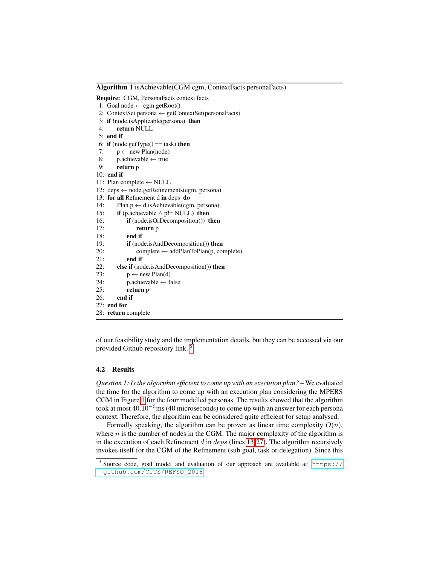<span id="page-10-0"></span>Algorithm 1 isAchievable(CGM cgm, ContextFacts personaFacts)

Require: CGM, PersonaFacts context facts

- 1: Goal node ← cgm.getRoot()
- 2: ContextSet persona ← getContextSet(personaFacts)
- 3: if !node.isApplicable(persona) then
- 4: return NULL
- 5: end if 6: if  $(node.getType() == task)$  then
- 7:  $p \leftarrow new Plan(node)$
- 8: p.achievable ← true
- 9: return p
- 10: end if
- 11: Plan complete  $\leftarrow$  NULL
- 12: deps  $\leftarrow$  node.getRefinements(cgm, persona)
- 13: for all Refinement d in deps do
- 14: Plan  $p \leftarrow d.isAchievable(cgm, persona)$
- 15: if (p.achievable  $\land$  p!= NULL) then
- 16: **if** (node.isOrDecomposition()) **then**
- 17: return p 18: end if
- 
- 19: **if** (node.isAndDecomposition()) **then** 20: complete  $\leftarrow$  addPlanToPlan(p, complete)
- 21: **end if**<br>22: **else if** (no
- else if (node.isAndDecomposition()) then
- 23:  $p \leftarrow new Plan(d)$
- 24: p.achievable  $\leftarrow$  false
- 25: return p
- 26: end if

```
27: end for
```
28: return complete

of our feasibility study and the implementation details, but they can be accessed via our provided Github repository link. [5](#page-10-1)

#### 4.2 Results

*Question 1: Is the algorithm efficient to come up with an execution plan?* – We evaluated the time for the algorithm to come up with an execution plan considering the MPERS CGM in Figure [1](#page-3-1) for the four modelled personas. The results showed that the algorithm took at most  $40.10^{-3}$ ms (40 microseconds) to come up with an answer for each persona context. Therefore, the algorithm can be considered quite efficient for setup analysed.

Formally speaking, the algorithm can be proven as linear time complexity  $O(n)$ , where  $n$  is the number of nodes in the CGM. The major complexity of the algorithm is in the execution of each Refinement  $d$  in  $deps$  (lines [13-27\)](#page-10-0). The algorithm recursively invokes itself for the CGM of the Refinement (sub goal, task or delegation). Since this

<span id="page-10-1"></span><sup>&</sup>lt;sup>5</sup> Source code, goal model and evaluation of our approach are available at: [https://](https://github.com/CJTS/REFSQ_2018) [github.com/CJTS/REFSQ\\_2018](https://github.com/CJTS/REFSQ_2018).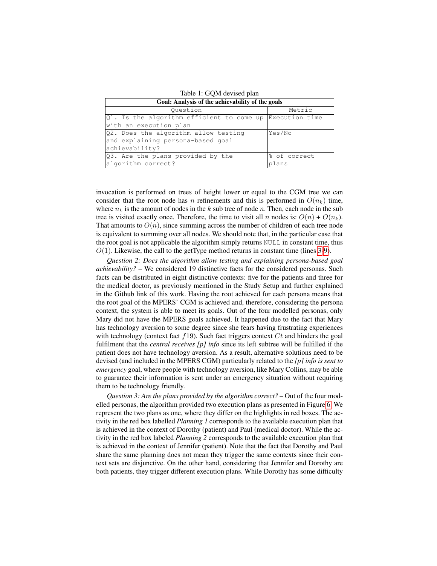Table 1: GQM devised plan

<span id="page-11-0"></span>

| Goal: Analysis of the achievability of the goals           |              |
|------------------------------------------------------------|--------------|
| Ouestion                                                   | Metric       |
| $Q1.$ Is the algorithm efficient to come up Execution time |              |
| with an execution plan                                     |              |
| Q2. Does the algorithm allow testing                       | Yes/No       |
| and explaining persona-based goal                          |              |
| achievability?                                             |              |
| Q3. Are the plans provided by the                          | % of correct |
| algorithm correct?                                         | plans        |

invocation is performed on trees of height lower or equal to the CGM tree we can consider that the root node has n refinements and this is performed in  $O(n_k)$  time, where  $n_k$  is the amount of nodes in the k sub tree of node n. Then, each node in the sub tree is visited exactly once. Therefore, the time to visit all n nodes is:  $O(n) + O(n_k)$ . That amounts to  $O(n)$ , since summing across the number of children of each tree node is equivalent to summing over all nodes. We should note that, in the particular case that the root goal is not applicable the algorithm simply returns NULL in constant time, thus  $O(1)$ . Likewise, the call to the getType method returns in constant time (lines [3-9\)](#page-10-0).

*Question 2: Does the algorithm allow testing and explaining persona-based goal achievability?* – We considered 19 distinctive facts for the considered personas. Such facts can be distributed in eight distinctive contexts: five for the patients and three for the medical doctor, as previously mentioned in the Study Setup and further explained in the Github link of this work. Having the root achieved for each persona means that the root goal of the MPERS' CGM is achieved and, therefore, considering the persona context, the system is able to meet its goals. Out of the four modelled personas, only Mary did not have the MPERS goals achieved. It happened due to the fact that Mary has technology aversion to some degree since she fears having frustrating experiences with technology (context fact  $f19$ ). Such fact triggers context  $C_t$  and hinders the goal fulfilment that the *central receives [p] info* since its left subtree will be fulfilled if the patient does not have technology aversion. As a result, alternative solutions need to be devised (and included in the MPERS CGM) particularly related to the *[p] info is sent to emergency* goal, where people with technology aversion, like Mary Collins, may be able to guarantee their information is sent under an emergency situation without requiring them to be technology friendly.

*Question 3: Are the plans provided by the algorithm correct?* – Out of the four modelled personas, the algorithm provided two execution plans as presented in Figure [6.](#page-12-1) We represent the two plans as one, where they differ on the highlights in red boxes. The activity in the red box labelled *Planning 1* corresponds to the available execution plan that is achieved in the context of Dorothy (patient) and Paul (medical doctor). While the activity in the red box labeled *Planning 2* corresponds to the available execution plan that is achieved in the context of Jennifer (patient). Note that the fact that Dorothy and Paul share the same planning does not mean they trigger the same contexts since their context sets are disjunctive. On the other hand, considering that Jennifer and Dorothy are both patients, they trigger different execution plans. While Dorothy has some difficulty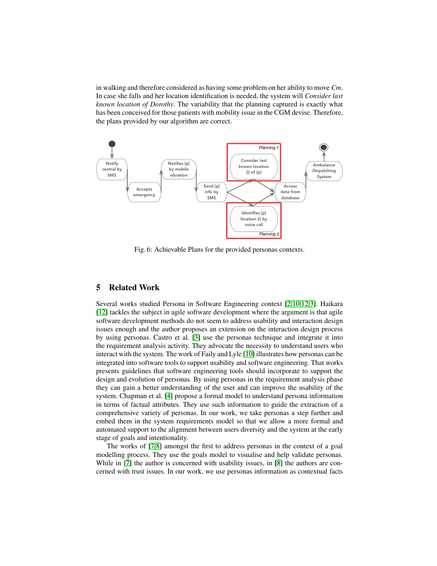in walking and therefore considered as having some problem on her ability to move *Cm*. In case she falls and her location identification is needed, the system will *Consider last known location of Dorothy*. The variability that the planning captured is exactly what has been conceived for those patients with mobility issue in the CGM devise. Therefore, the plans provided by our algorithm are correct.

<span id="page-12-1"></span>

Fig. 6: Achievable Plans for the provided personas contexts.

## <span id="page-12-0"></span>5 Related Work

Several works studied Persona in Software Engineering context [\[2](#page-14-3)[,10,](#page-15-9)[12,](#page-15-10)[3\]](#page-14-4). Haikara [\[12\]](#page-15-10) tackles the subject in agile software development where the argument is that agile software development methods do not seem to address usability and interaction design issues enough and the author proposes an extension on the interaction design process by using personas. Castro et al. [\[3\]](#page-14-4) use the personas technique and integrate it into the requirement analysis activity. They advocate the necessity to understand users who interact with the system. The work of Faily and Lyle [\[10\]](#page-15-9) illustrates how personas can be integrated into software tools to support usability and software engineering. That works presents guidelines that software engineering tools should incorporate to support the design and evolution of personas. By using personas in the requirement analysis phase they can gain a better understanding of the user and can improve the usability of the system. Chapman et al. [\[4\]](#page-14-2) propose a formal model to understand persona information in terms of factual attributes. They use such information to guide the extraction of a comprehensive variety of personas. In our work, we take personas a step further and embed them in the system requirements model so that we allow a more formal and automated support to the alignment between users diversity and the system at the early stage of goals and intentionality.

The works of [\[7,](#page-14-5)[8\]](#page-14-6) amongst the first to address personas in the context of a goal modelling process. They use the goals model to visualise and help validate personas. While in [\[7\]](#page-14-5) the author is concerned with usability issues, in [\[8\]](#page-14-6) the authors are concerned with trust issues. In our work, we use personas information as contextual facts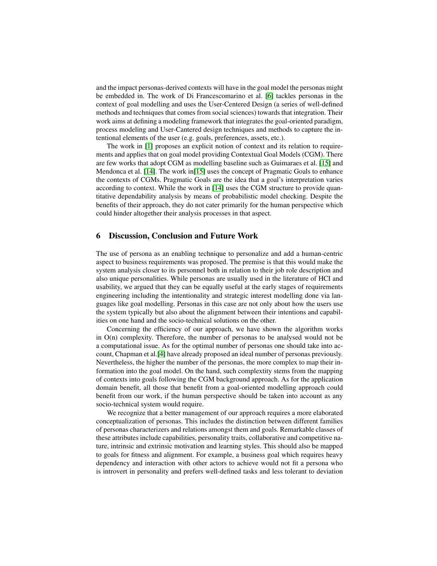and the impact personas-derived contexts will have in the goal model the personas might be embedded in. The work of Di Francescomarino et al. [\[6\]](#page-14-7) tackles personas in the context of goal modelling and uses the User-Centered Design (a series of well-defined methods and techniques that comes from social sciences) towards that integration. Their work aims at defining a modeling framework that integrates the goal-oriented paradigm, process modeling and User-Cantered design techniques and methods to capture the intentional elements of the user (e.g. goals, preferences, assets, etc.).

The work in [\[1\]](#page-14-1) proposes an explicit notion of context and its relation to requirements and applies that on goal model providing Contextual Goal Models (CGM). There are few works that adopt CGM as modelling baseline such as Guimaraes et al. [\[15\]](#page-15-3) and Mendonca et al. [\[14\]](#page-15-11). The work in[\[15\]](#page-15-3) uses the concept of Pragmatic Goals to enhance the contexts of CGMs. Pragmatic Goals are the idea that a goal's interpretation varies according to context. While the work in [\[14\]](#page-15-11) uses the CGM structure to provide quantitative dependability analysis by means of probabilistic model checking. Despite the benefits of their approach, they do not cater primarily for the human perspective which could hinder altogether their analysis processes in that aspect.

## <span id="page-13-0"></span>6 Discussion, Conclusion and Future Work

The use of persona as an enabling technique to personalize and add a human-centric aspect to business requirements was proposed. The premise is that this would make the system analysis closer to its personnel both in relation to their job role description and also unique personalities. While personas are usually used in the literature of HCI and usability, we argued that they can be equally useful at the early stages of requirements engineering including the intentionality and strategic interest modelling done via languages like goal modelling. Personas in this case are not only about how the users use the system typically but also about the alignment between their intentions and capabilities on one hand and the socio-technical solutions on the other.

Concerning the efficiency of our approach, we have shown the algorithm works in  $O(n)$  complexity. Therefore, the number of personas to be analysed would not be a computational issue. As for the optimal number of personas one should take into account, Chapman et al.[\[4\]](#page-14-2) have already proposed an ideal number of personas previously. Nevertheless, the higher the number of the personas, the more complex to map their information into the goal model. On the hand, such complextity stems from the mapping of contexts into goals following the CGM background approach. As for the application domain benefit, all those that benefit from a goal-oriented modelling approach could benefit from our work, if the human perspective should be taken into account as any socio-technical system would require.

We recognize that a better management of our approach requires a more elaborated conceptualization of personas. This includes the distinction between different families of personas characterizers and relations amongst them and goals. Remarkable classes of these attributes include capabilities, personality traits, collaborative and competitive nature, intrinsic and extrinsic motivation and learning styles. This should also be mapped to goals for fitness and alignment. For example, a business goal which requires heavy dependency and interaction with other actors to achieve would not fit a persona who is introvert in personality and prefers well-defined tasks and less tolerant to deviation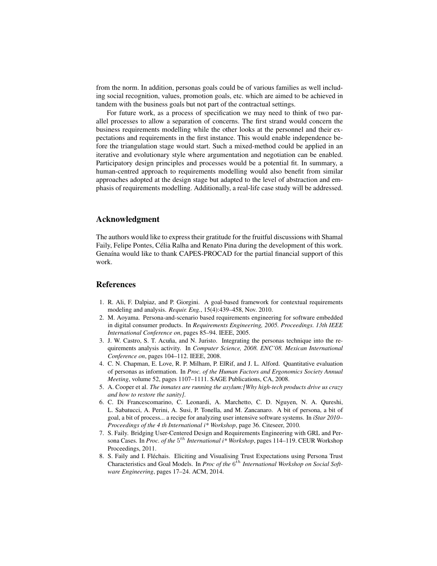from the norm. In addition, personas goals could be of various families as well including social recognition, values, promotion goals, etc. which are aimed to be achieved in tandem with the business goals but not part of the contractual settings.

For future work, as a process of specification we may need to think of two parallel processes to allow a separation of concerns. The first strand would concern the business requirements modelling while the other looks at the personnel and their expectations and requirements in the first instance. This would enable independence before the triangulation stage would start. Such a mixed-method could be applied in an iterative and evolutionary style where argumentation and negotiation can be enabled. Participatory design principles and processes would be a potential fit. In summary, a human-centred approach to requirements modelling would also benefit from similar approaches adopted at the design stage but adapted to the level of abstraction and emphasis of requirements modelling. Additionally, a real-life case study will be addressed.

## Acknowledgment

The authors would like to express their gratitude for the fruitful discussions with Shamal Faily, Felipe Pontes, Célia Ralha and Renato Pina during the development of this work. Genaína would like to thank CAPES-PROCAD for the partial financial support of this work.

#### **References**

- <span id="page-14-1"></span>1. R. Ali, F. Dalpiaz, and P. Giorgini. A goal-based framework for contextual requirements modeling and analysis. *Requir. Eng.*, 15(4):439–458, Nov. 2010.
- <span id="page-14-3"></span>2. M. Aoyama. Persona-and-scenario based requirements engineering for software embedded in digital consumer products. In *Requirements Engineering, 2005. Proceedings. 13th IEEE International Conference on*, pages 85–94. IEEE, 2005.
- <span id="page-14-4"></span>3. J. W. Castro, S. T. Acuña, and N. Juristo. Integrating the personas technique into the requirements analysis activity. In *Computer Science, 2008. ENC'08. Mexican International Conference on*, pages 104–112. IEEE, 2008.
- <span id="page-14-2"></span>4. C. N. Chapman, E. Love, R. P. Milham, P. ElRif, and J. L. Alford. Quantitative evaluation of personas as information. In *Proc. of the Human Factors and Ergonomics Society Annual Meeting*, volume 52, pages 1107–1111. SAGE Publications, CA, 2008.
- <span id="page-14-0"></span>5. A. Cooper et al. *The inmates are running the asylum:[Why high-tech products drive us crazy and how to restore the sanity]*.
- <span id="page-14-7"></span>6. C. Di Francescomarino, C. Leonardi, A. Marchetto, C. D. Nguyen, N. A. Qureshi, L. Sabatucci, A. Perini, A. Susi, P. Tonella, and M. Zancanaro. A bit of persona, a bit of goal, a bit of process... a recipe for analyzing user intensive software systems. In *iStar 2010– Proceedings of the 4 th International i\* Workshop*, page 36. Citeseer, 2010.
- <span id="page-14-5"></span>7. S. Faily. Bridging User-Centered Design and Requirements Engineering with GRL and Persona Cases. In *Proc. of the* 5 th *International i\* Workshop*, pages 114–119. CEUR Workshop Proceedings, 2011.
- <span id="page-14-6"></span>8. S. Faily and I. Fléchais. Eliciting and Visualising Trust Expectations using Persona Trust Characteristics and Goal Models. In *Proc of the* 6<sup>th</sup> International Workshop on Social Soft*ware Engineering*, pages 17–24. ACM, 2014.